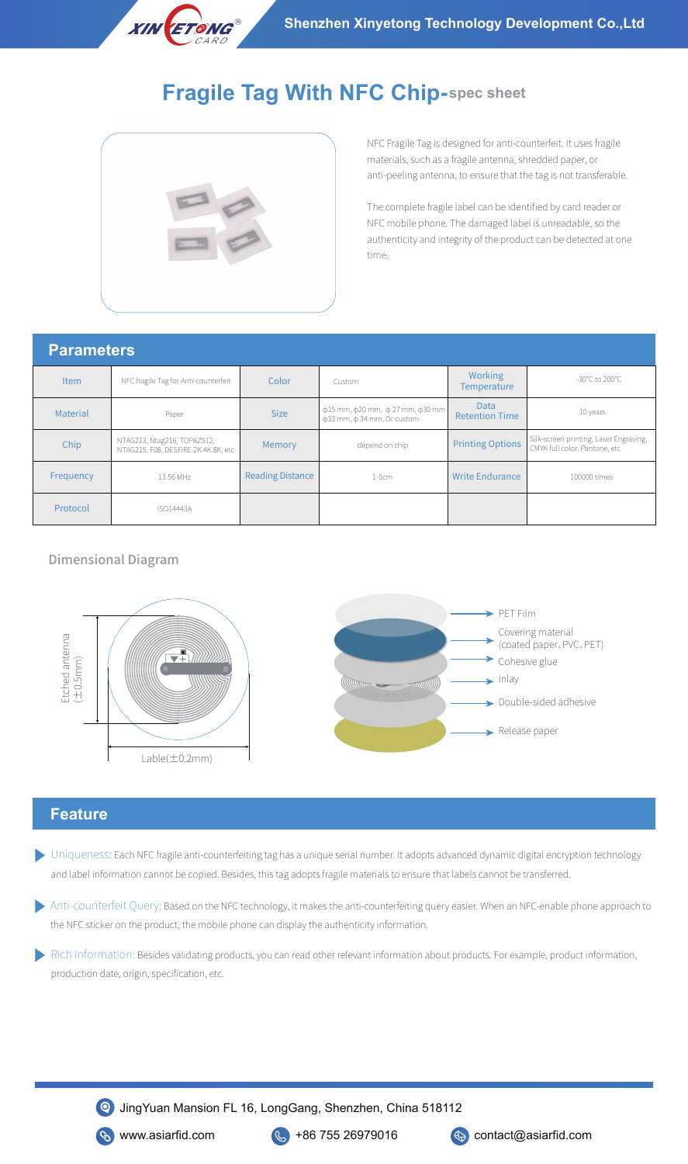

# **Fragile Tag With NFC Chip-spec sheet**



NFC Fragile Tag is designed for anti-counterfeit. It uses fragile materials, such as a fragile antenna, shredded paper, or anti-peeling antenna, to ensure that the tag is not transferable.

The complete fragile label can be identified by card reader or NFC mobile phone. The damaged label is unreadable, so the authenticity and integrity of the product can be detected at one time.

#### **Parameters**

| i urunivwiv |                                                                    |                         |                                                                                      |                                      |                                                                          |  |
|-------------|--------------------------------------------------------------------|-------------------------|--------------------------------------------------------------------------------------|--------------------------------------|--------------------------------------------------------------------------|--|
| <b>Item</b> | NFC fragile Tag for Anti-counterfeit                               | Color                   | Custom                                                                               | <b>Working</b><br><b>Temperature</b> | -30°C to 200°C                                                           |  |
| Material    | Paper                                                              | <b>Size</b>             | $\phi$ 15 mm, $\phi$ 20 mm, $\phi$ 27 mm, $\phi$ 30 mm<br>ф33 mm, ф 34 mm, Or custom | <b>Data</b><br><b>Retention Time</b> | 10 years                                                                 |  |
| Chip        | NTAG213, Ntag216, TOPAZ512,<br>NTAG215, F08, DESFIRE 2K 4K 8K, etc | Memory                  | depend on chip                                                                       | <b>Printing Options</b>              | Silk-screen printing, Laser Engraving,<br>CMYK full color, Pantone, etc. |  |
| Frequency   | 13.56 MHz                                                          | <b>Reading Distance</b> | $1-5cm$                                                                              | <b>Write Endurance</b>               | 100000 times                                                             |  |
| Protocol    | <b>ISO14443A</b>                                                   |                         |                                                                                      |                                      |                                                                          |  |

#### Dimensional Diagram



## **Feature**

- Uniqueness: Each NFC fragile anti-counterfeiting tag has a unique serial number. It adopts advanced dynamic digital encryption technology and label information cannot be copied. Besides, this tag adopts fragile materials to ensure that labels cannot be transferred.
- Anti-counterfeit Query: Based on the NFC technology, it makes the anti-counterfeiting query easier. When an NFC-enable phone approach to
- Rich Information: Besides validating products, you can read other relevant information about products. For example, product information, production date, origin, specification, etc.



JingYuan Mansion FL 16, LongGang, Shenzhen, China 518112